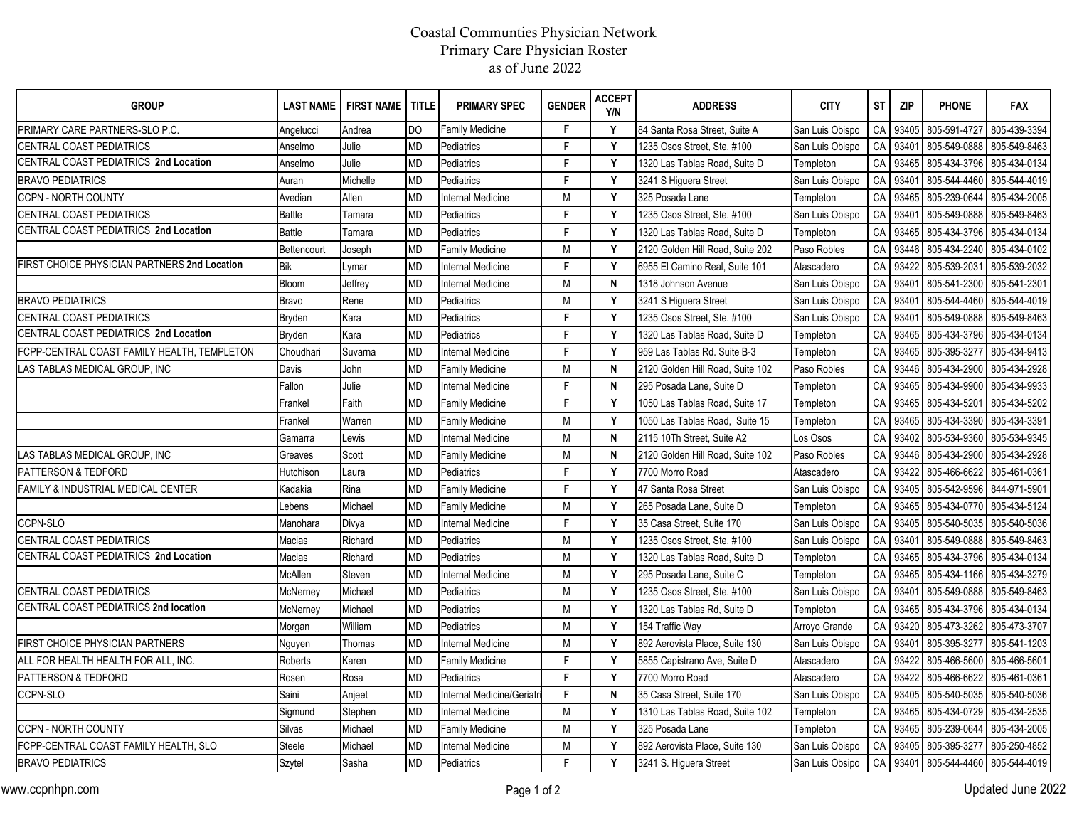## Coastal Communties Physician Network Primary Care Physician Roster as of June 2022

| <b>GROUP</b>                                 | <b>LAST NAME</b> | <b>FIRST NAME</b> | <b>TITLE</b> | <b>PRIMARY SPEC</b>       | <b>GENDER</b> | <b>ACCEPT</b><br>Y/N | <b>ADDRESS</b>                   | <b>CITY</b>     | <b>ST</b>  | <b>ZIP</b> | <b>PHONE</b> | <b>FAX</b>   |
|----------------------------------------------|------------------|-------------------|--------------|---------------------------|---------------|----------------------|----------------------------------|-----------------|------------|------------|--------------|--------------|
| PRIMARY CARE PARTNERS-SLO P.C.               | Angelucci        | Andrea            | DO           | <b>Family Medicine</b>    | F             | Y                    | 84 Santa Rosa Street, Suite A    | San Luis Obispo | CA         | 93405      | 805-591-4727 | 805-439-3394 |
| CENTRAL COAST PEDIATRICS                     | Anselmo          | Julie             | <b>MD</b>    | Pediatrics                | E             | Y                    | 1235 Osos Street, Ste. #100      | San Luis Obispo | CA         | 93401      | 805-549-0888 | 805-549-8463 |
| CENTRAL COAST PEDIATRICS 2nd Location        | Anselmo          | Julie             | <b>MD</b>    | Pediatrics                | E             | Y                    | 1320 Las Tablas Road. Suite D    | Templeton       | ${\sf CA}$ | 93465      | 805-434-3796 | 805-434-0134 |
| <b>BRAVO PEDIATRICS</b>                      | Auran            | Michelle          | <b>MD</b>    | Pediatrics                | E             | Y                    | 3241 S Higuera Street            | San Luis Obispo | CA         | 93401      | 805-544-4460 | 805-544-4019 |
| <b>CCPN - NORTH COUNTY</b>                   | Avedian          | Allen             | <b>MD</b>    | <b>Internal Medicine</b>  | M             | Y                    | 325 Posada Lane                  | Templeton       | CA         | 93465      | 805-239-0644 | 805-434-2005 |
| <b>CENTRAL COAST PEDIATRICS</b>              | <b>Battle</b>    | Tamara            | <b>MD</b>    | Pediatrics                | E             | Y                    | 1235 Osos Street, Ste. #100      | San Luis Obispo | CA         | 93401      | 805-549-0888 | 805-549-8463 |
| CENTRAL COAST PEDIATRICS 2nd Location        | <b>Battle</b>    | Tamara            | <b>MD</b>    | Pediatrics                | E             | Y                    | 1320 Las Tablas Road, Suite D    | Templeton       | CA         | 93465      | 805-434-3796 | 805-434-0134 |
|                                              | Bettencourt      | Joseph            | <b>MD</b>    | <b>Family Medicine</b>    | M             | Y                    | 2120 Golden Hill Road, Suite 202 | Paso Robles     | CA         | 93446      | 805-434-2240 | 805-434-0102 |
| FIRST CHOICE PHYSICIAN PARTNERS 2nd Location | <b>Bik</b>       | _ymar             | <b>MD</b>    | <b>Internal Medicine</b>  | F             | Y                    | 6955 El Camino Real, Suite 101   | Atascadero      | CA         | 93422      | 805-539-2031 | 805-539-2032 |
|                                              | Bloom            | Jeffrey           | <b>MD</b>    | <b>Internal Medicine</b>  | M             | N                    | 1318 Johnson Avenue              | San Luis Obispo | ${\sf CA}$ | 93401      | 805-541-2300 | 805-541-2301 |
| <b>BRAVO PEDIATRICS</b>                      | <b>Bravo</b>     | Rene              | MD           | Pediatrics                | M             | Y                    | 3241 S Higuera Street            | San Luis Obispo | ${\sf CA}$ | 93401      | 805-544-4460 | 805-544-4019 |
| CENTRAL COAST PEDIATRICS                     | Bryden           | Kara              | <b>MD</b>    | Pediatrics                | F             | Y                    | 1235 Osos Street, Ste. #100      | San Luis Obispo | CA         | 93401      | 805-549-0888 | 805-549-8463 |
| CENTRAL COAST PEDIATRICS 2nd Location        | Bryden           | Kara              | <b>MD</b>    | Pediatrics                | $\mathsf{F}$  | Y                    | 1320 Las Tablas Road. Suite D    | Templeton       | ${\sf CA}$ | 93465      | 805-434-3796 | 805-434-0134 |
| FCPP-CENTRAL COAST FAMILY HEALTH, TEMPLETON  | Choudhar         | Suvarna           | <b>MD</b>    | <b>Internal Medicine</b>  | $\mathsf{F}$  | Y                    | 959 Las Tablas Rd. Suite B-3     | Templeton       | CA         | 93465      | 805-395-3277 | 805-434-9413 |
| LAS TABLAS MEDICAL GROUP, INC                | Davis            | John              | <b>MD</b>    | <b>Family Medicine</b>    | M             | N                    | 2120 Golden Hill Road, Suite 102 | Paso Robles     | CA         | 93446      | 805-434-2900 | 805-434-2928 |
|                                              | Fallon           | Julie             | <b>MD</b>    | <b>Internal Medicine</b>  | F             | N                    | 295 Posada Lane, Suite D         | Templeton       | CA         | 93465      | 805-434-9900 | 805-434-9933 |
|                                              | Frankel          | Faith             | <b>MD</b>    | <b>Family Medicine</b>    | F             | Y                    | 1050 Las Tablas Road, Suite 17   | Templeton       | CA         | 93465      | 805-434-5201 | 805-434-5202 |
|                                              | Frankel          | Warren            | MD           | <b>Family Medicine</b>    | M             | Y                    | 1050 Las Tablas Road, Suite 15   | Templeton       | CA         | 93465      | 805-434-3390 | 805-434-3391 |
|                                              | Gamarra          | Lewis             | <b>MD</b>    | <b>Internal Medicine</b>  | M             | N                    | 2115 10Th Street, Suite A2       | os Osos         | CA         | 93402      | 805-534-9360 | 805-534-9345 |
| LAS TABLAS MEDICAL GROUP, INC                | Greaves          | Scott             | <b>MD</b>    | <b>Family Medicine</b>    | M             | N                    | 2120 Golden Hill Road, Suite 102 | Paso Robles     | CA         | 93446      | 805-434-2900 | 805-434-2928 |
| PATTERSON & TEDFORD                          | Hutchison        | Laura             | <b>MD</b>    | Pediatrics                | F             | Y                    | 7700 Morro Road                  | Atascadero      | CA         | 93422      | 805-466-6622 | 805-461-0361 |
| FAMILY & INDUSTRIAL MEDICAL CENTER           | Kadakia          | Rina              | <b>MD</b>    | <b>Family Medicine</b>    | $\mathsf{F}$  | Y                    | 47 Santa Rosa Street             | San Luis Obispo | ${\sf CA}$ | 93405      | 805-542-9596 | 844-971-5901 |
|                                              | Lebens           | Michael           | <b>MD</b>    | <b>Family Medicine</b>    | M             | Y                    | 265 Posada Lane, Suite D         | Templeton       | CA         | 93465      | 805-434-0770 | 805-434-5124 |
| CCPN-SLO                                     | Manohara         | Divya             | <b>MD</b>    | <b>Internal Medicine</b>  | F             | Y                    | 35 Casa Street, Suite 170        | San Luis Obispo | CA         | 93405      | 805-540-5035 | 805-540-5036 |
| CENTRAL COAST PEDIATRICS                     | <b>Macias</b>    | Richard           | <b>MD</b>    | Pediatrics                | M             | Y                    | 1235 Osos Street, Ste. #100      | San Luis Obispo | CA         | 93401      | 805-549-0888 | 805-549-8463 |
| CENTRAL COAST PEDIATRICS 2nd Location        | Macias           | Richard           | <b>MD</b>    | Pediatrics                | M             | Y                    | 1320 Las Tablas Road, Suite D    | Templeton       | CA         | 93465      | 805-434-3796 | 805-434-0134 |
|                                              | McAllen          | Steven            | <b>MD</b>    | <b>Internal Medicine</b>  | M             | Y                    | 295 Posada Lane, Suite C         | Templeton       | CA         | 93465      | 805-434-1166 | 805-434-3279 |
| CENTRAL COAST PEDIATRICS                     | McNerney         | Michael           | <b>MD</b>    | Pediatrics                | M             | Y                    | 1235 Osos Street, Ste. #100      | San Luis Obispo | CA         | 93401      | 805-549-0888 | 805-549-8463 |
| CENTRAL COAST PEDIATRICS 2nd location        | McNerney         | Michael           | MD           | Pediatrics                | M             | Y                    | 1320 Las Tablas Rd, Suite D      | Templeton       | CA         | 93465      | 805-434-3796 | 805-434-0134 |
|                                              | Morgan           | William           | <b>MD</b>    | Pediatrics                | M             | Y                    | 154 Traffic Way                  | Arroyo Grande   | CA         | 93420      | 805-473-3262 | 805-473-3707 |
| FIRST CHOICE PHYSICIAN PARTNERS              | Nguyen           | Thomas            | <b>MD</b>    | <b>Internal Medicine</b>  | M             | Y                    | 892 Aerovista Place, Suite 130   | San Luis Obispo | CA         | 93401      | 805-395-3277 | 805-541-1203 |
| ALL FOR HEALTH HEALTH FOR ALL, INC.          | Roberts          | Karen             | <b>MD</b>    | <b>Family Medicine</b>    | F             | Υ                    | 5855 Capistrano Ave, Suite D     | Atascadero      | CA         | 93422      | 805-466-5600 | 805-466-5601 |
| PATTERSON & TEDFORD                          | Rosen            | Rosa              | <b>MD</b>    | Pediatrics                | F             | Y                    | 7700 Morro Road                  | Atascadero      | CA         | 93422      | 805-466-6622 | 805-461-0361 |
| CCPN-SLO                                     | Saini            | Anjeet            | MD           | Internal Medicine/Geriatr | E             | N                    | 35 Casa Street, Suite 170        | San Luis Obispo | CA         | 93405      | 805-540-5035 | 805-540-5036 |
|                                              | Sigmund          | Stephen           | <b>MD</b>    | <b>Internal Medicine</b>  | M             | Y                    | 1310 Las Tablas Road, Suite 102  | Templeton       | CA         | 93465      | 805-434-0729 | 805-434-2535 |
| CCPN - NORTH COUNTY                          | Silvas           | Michael           | <b>MD</b>    | <b>Family Medicine</b>    | M             | Y                    | 325 Posada Lane                  | Templeton       | CA         | 93465      | 805-239-0644 | 805-434-2005 |
| FCPP-CENTRAL COAST FAMILY HEALTH, SLO        | <b>Steele</b>    | Michael           | <b>MD</b>    | <b>Internal Medicine</b>  | M             | Y                    | 892 Aerovista Place, Suite 130   | San Luis Obispo | CA         | 93405      | 805-395-3277 | 805-250-4852 |
| <b>BRAVO PEDIATRICS</b>                      | Szytel           | Sasha             | <b>MD</b>    | Pediatrics                | E             | Y                    | 3241 S. Higuera Street           | San Luis Obsipo | CA         | 93401      | 805-544-4460 | 805-544-4019 |